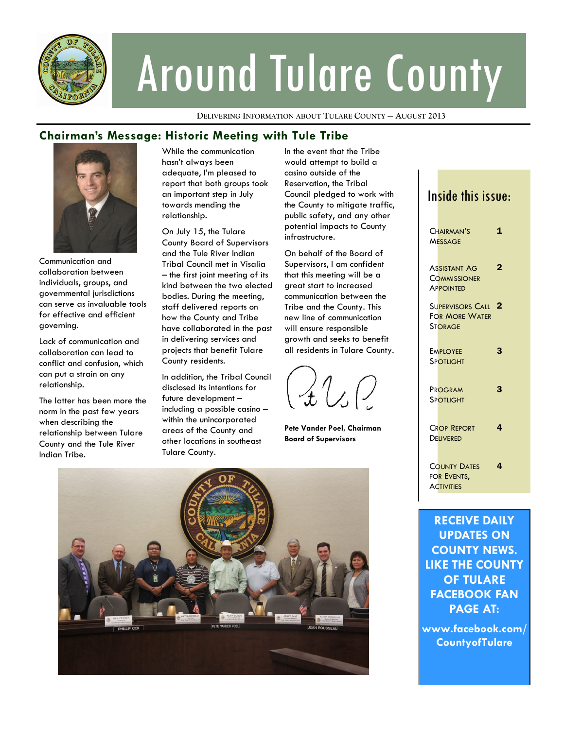

# Around Tulare County

**DELIVERING INFORMATION ABOUT TULARE COUNTY — AUGUST 2013**

### **Chairman's Message: Historic Meeting with Tule Tribe**



Communication and collaboration between individuals, groups, and governmental jurisdictions can serve as invaluable tools for effective and efficient governing.

Lack of communication and collaboration can lead to conflict and confusion, which can put a strain on any relationship.

The latter has been more the norm in the past few years when describing the relationship between Tulare County and the Tule River Indian Tribe.

While the communication hasn't always been adequate, I'm pleased to report that both groups took an important step in July towards mending the relationship.

On July 15, the Tulare County Board of Supervisors and the Tule River Indian Tribal Council met in Visalia – the first joint meeting of its kind between the two elected bodies. During the meeting, staff delivered reports on how the County and Tribe have collaborated in the past in delivering services and projects that benefit Tulare County residents.

In addition, the Tribal Council disclosed its intentions for future development – including a possible casino – within the unincorporated areas of the County and other locations in southeast Tulare County.

In the event that the Tribe would attempt to build a casino outside of the Reservation, the Tribal Council pledged to work with the County to mitigate traffic, public safety, and any other potential impacts to County infrastructure.

On behalf of the Board of Supervisors, I am confident that this meeting will be a great start to increased communication between the Tribe and the County. This new line of communication will ensure responsible growth and seeks to benefit all residents in Tulare County.

 $\mathcal{A} \cup \mathcal{O}$ 

**Pete Vander Poel, Chairman Board of Supervisors**



## Inside this issue:

| CHAIRMAN'S<br><b>MESSAGE</b>                                       | 1                       |
|--------------------------------------------------------------------|-------------------------|
| Assistant Ag<br><b>COMMISSIONER</b><br><b>APPOINTED</b>            | 2                       |
| <b>SUPERVISORS CALL</b><br><b>FOR MORE WATER</b><br><b>STORAGE</b> | $\overline{\mathbf{2}}$ |
| <b>EMPLOYEE</b><br><b>SPOTLIGHT</b>                                | 3                       |
| PROGRAM<br>SPOTLIGHT                                               | 3                       |
| <b>CROP REPORT</b><br><b>DELIVERED</b>                             | 4                       |
| <b>COUNTY DATES</b><br>FOR EVENTS,<br><b>ACTIVITIES</b>            | 4                       |
|                                                                    |                         |

**RECEIVE DAILY UPDATES ON COUNTY NEWS. LIKE THE COUNTY OF TULARE FACEBOOK FAN PAGE AT:** 

**www.facebook.com/ CountyofTulare**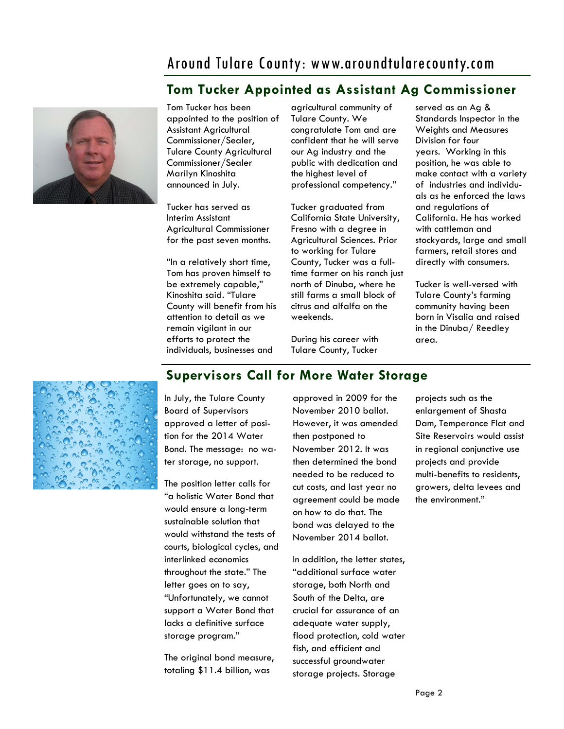# Around Tulare County: www.aroundtularecounty.com

# **Tom Tucker Appointed as Assistant Ag Commissioner**



Tom Tucker has been appointed to the position of Assistant Agricultural Commissioner/Sealer, Tulare County Agricultural Commissioner/Sealer Marilyn Kinoshita announced in July.

Tucker has served as Interim Assistant Agricultural Commissioner for the past seven months.

"In a relatively short time, Tom has proven himself to be extremely capable," Kinoshita said. "Tulare County will benefit from his attention to detail as we remain vigilant in our efforts to protect the individuals, businesses and

agricultural community of Tulare County. We congratulate Tom and are confident that he will serve our Ag industry and the public with dedication and the highest level of professional competency."

Tucker graduated from California State University, Fresno with a degree in Agricultural Sciences. Prior to working for Tulare County, Tucker was a fulltime farmer on his ranch just north of Dinuba, where he still farms a small block of citrus and alfalfa on the weekends.

During his career with Tulare County, Tucker

served as an Ag & Standards Inspector in the Weights and Measures Division for four years. Working in this position, he was able to make contact with a variety of industries and individuals as he enforced the laws and regulations of California. He has worked with cattleman and stockyards, large and small farmers, retail stores and directly with consumers.

Tucker is well-versed with Tulare County's farming community having been born in Visalia and raised in the Dinuba/ Reedley area.



**Supervisors Call for More Water Storage**

In July, the Tulare County Board of Supervisors approved a letter of position for the 2014 Water Bond. The message: no water storage, no support.

The position letter calls for "a holistic Water Bond that would ensure a long-term sustainable solution that would withstand the tests of courts, biological cycles, and interlinked economics throughout the state." The letter goes on to say, "Unfortunately, we cannot support a Water Bond that lacks a definitive surface storage program."

The original bond measure, totaling \$11.4 billion, was

approved in 2009 for the November 2010 ballot. However, it was amended then postponed to November 2012. It was then determined the bond needed to be reduced to cut costs, and last year no agreement could be made on how to do that. The bond was delayed to the November 2014 ballot.

In addition, the letter states, "additional surface water storage, both North and South of the Delta, are crucial for assurance of an adequate water supply, flood protection, cold water fish, and efficient and successful groundwater storage projects. Storage

projects such as the enlargement of Shasta Dam, Temperance Flat and Site Reservoirs would assist in regional conjunctive use projects and provide multi-benefits to residents, growers, delta levees and the environment."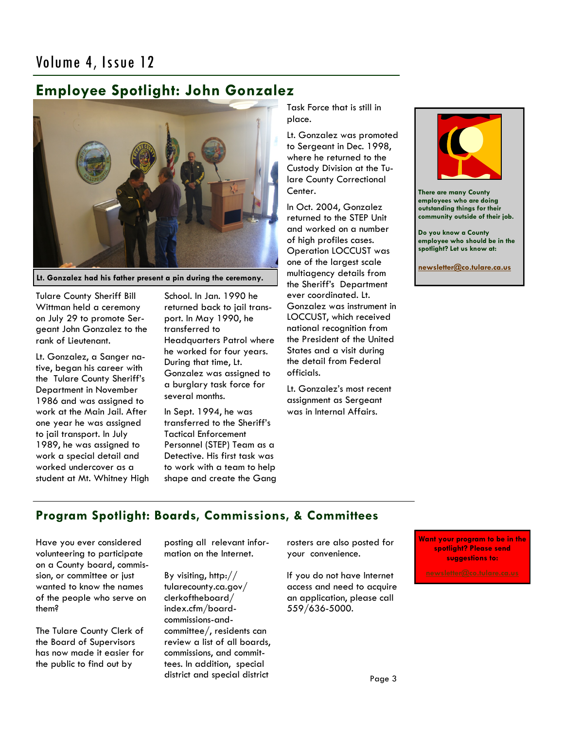# Volume 4, Issue 12

# **Employee Spotlight: John Gonzalez**



**Lt. Gonzalez had his father present a pin during the ceremony.**

Tulare County Sheriff Bill Wittman held a ceremony on July 29 to promote Sergeant John Gonzalez to the rank of Lieutenant.

Lt. Gonzalez, a Sanger native, began his career with the Tulare County Sheriff's Department in November 1986 and was assigned to work at the Main Jail. After one year he was assigned to jail transport. In July 1989, he was assigned to work a special detail and worked undercover as a student at Mt. Whitney High School. In Jan. 1990 he returned back to jail transport. In May 1990, he transferred to Headquarters Patrol where he worked for four years. During that time, Lt. Gonzalez was assigned to a burglary task force for several months.

In Sept. 1994, he was transferred to the Sheriff's Tactical Enforcement Personnel (STEP) Team as a Detective. His first task was to work with a team to help shape and create the Gang Task Force that is still in place.

Lt. Gonzalez was promoted to Sergeant in Dec. 1998, where he returned to the Custody Division at the Tulare County Correctional Center.

In Oct. 2004, Gonzalez returned to the STEP Unit and worked on a number of high profiles cases. Operation LOCCUST was one of the largest scale multiagency details from the Sheriff's Department ever coordinated. Lt. Gonzalez was instrument in LOCCUST, which received national recognition from the President of the United States and a visit during the detail from Federal officials.

Lt. Gonzalez's most recent assignment as Sergeant was in Internal Affairs.



**There are many County employees who are doing outstanding things for their community outside of their job.**

**Do you know a County employee who should be in the spotlight? Let us know at:** 

**[newsletter@co.tulare.ca.us](mailto:newsletter@co.tulare.ca.us?subject=Employee%20spotlight)**

## **Program Spotlight: Boards, Commissions, & Committees**

Have you ever considered volunteering to participate on a County board, commission, or committee or just wanted to know the names of the people who serve on them?

The Tulare County Clerk of the Board of Supervisors has now made it easier for the public to find out by

posting all relevant information on the Internet.

By visiting, http:// tularecounty.ca.gov/ clerkoftheboard/ index.cfm/boardcommissions-andcommittee/, residents can review a list of all boards, commissions, and committees. In addition, special district and special district

rosters are also posted for your convenience.

If you do not have Internet access and need to acquire an application, please call 559/636-5000.

**Want your program to be in the spotlight? Please send suggestions to:**